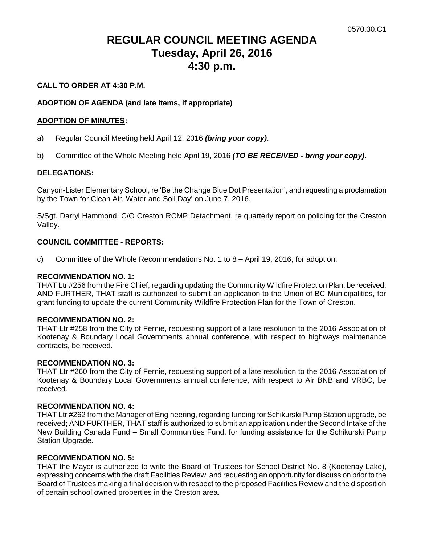# **REGULAR COUNCIL MEETING AGENDA Tuesday, April 26, 2016 4:30 p.m.**

# **CALL TO ORDER AT 4:30 P.M.**

# **ADOPTION OF AGENDA (and late items, if appropriate)**

#### **ADOPTION OF MINUTES:**

- a) Regular Council Meeting held April 12, 2016 *(bring your copy)*.
- b) Committee of the Whole Meeting held April 19, 2016 *(TO BE RECEIVED - bring your copy)*.

#### **DELEGATIONS:**

Canyon-Lister Elementary School, re 'Be the Change Blue Dot Presentation', and requesting a proclamation by the Town for Clean Air, Water and Soil Day' on June 7, 2016.

S/Sgt. Darryl Hammond, C/O Creston RCMP Detachment, re quarterly report on policing for the Creston Valley.

#### **COUNCIL COMMITTEE - REPORTS:**

c) Committee of the Whole Recommendations No. 1 to 8 – April 19, 2016, for adoption.

#### **RECOMMENDATION NO. 1:**

THAT Ltr #256 from the Fire Chief, regarding updating the Community Wildfire Protection Plan, be received; AND FURTHER, THAT staff is authorized to submit an application to the Union of BC Municipalities, for grant funding to update the current Community Wildfire Protection Plan for the Town of Creston.

#### **RECOMMENDATION NO. 2:**

THAT Ltr #258 from the City of Fernie, requesting support of a late resolution to the 2016 Association of Kootenay & Boundary Local Governments annual conference, with respect to highways maintenance contracts, be received.

#### **RECOMMENDATION NO. 3:**

THAT Ltr #260 from the City of Fernie, requesting support of a late resolution to the 2016 Association of Kootenay & Boundary Local Governments annual conference, with respect to Air BNB and VRBO, be received.

#### **RECOMMENDATION NO. 4:**

THAT Ltr #262 from the Manager of Engineering, regarding funding for Schikurski Pump Station upgrade, be received; AND FURTHER, THAT staff is authorized to submit an application under the Second Intake of the New Building Canada Fund – Small Communities Fund, for funding assistance for the Schikurski Pump Station Upgrade.

#### **RECOMMENDATION NO. 5:**

THAT the Mayor is authorized to write the Board of Trustees for School District No. 8 (Kootenay Lake), expressing concerns with the draft Facilities Review, and requesting an opportunity for discussion prior to the Board of Trustees making a final decision with respect to the proposed Facilities Review and the disposition of certain school owned properties in the Creston area.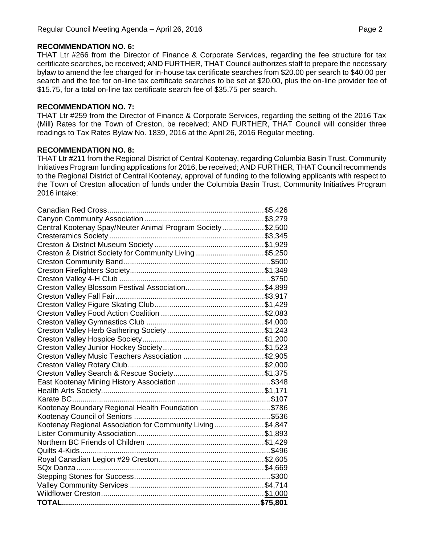### **RECOMMENDATION NO. 6:**

THAT Ltr #266 from the Director of Finance & Corporate Services, regarding the fee structure for tax certificate searches, be received; AND FURTHER, THAT Council authorizes staff to prepare the necessary bylaw to amend the fee charged for in-house tax certificate searches from \$20.00 per search to \$40.00 per search and the fee for on-line tax certificate searches to be set at \$20.00, plus the on-line provider fee of \$15.75, for a total on-line tax certificate search fee of \$35.75 per search.

#### **RECOMMENDATION NO. 7:**

THAT Ltr #259 from the Director of Finance & Corporate Services, regarding the setting of the 2016 Tax (Mill) Rates for the Town of Creston, be received; AND FURTHER, THAT Council will consider three readings to Tax Rates Bylaw No. 1839, 2016 at the April 26, 2016 Regular meeting.

#### **RECOMMENDATION NO. 8:**

THAT Ltr #211 from the Regional District of Central Kootenay, regarding Columbia Basin Trust, Community Initiatives Program funding applications for 2016, be received; AND FURTHER, THAT Council recommends to the Regional District of Central Kootenay, approval of funding to the following applicants with respect to the Town of Creston allocation of funds under the Columbia Basin Trust, Community Initiatives Program 2016 intake:

| Central Kootenay Spay/Neuter Animal Program Society \$2,500 |  |  |
|-------------------------------------------------------------|--|--|
|                                                             |  |  |
|                                                             |  |  |
| Creston & District Society for Community Living \$5,250     |  |  |
|                                                             |  |  |
|                                                             |  |  |
|                                                             |  |  |
|                                                             |  |  |
| Creston Valley Fall Fair                                    |  |  |
|                                                             |  |  |
|                                                             |  |  |
|                                                             |  |  |
|                                                             |  |  |
|                                                             |  |  |
|                                                             |  |  |
|                                                             |  |  |
|                                                             |  |  |
|                                                             |  |  |
|                                                             |  |  |
|                                                             |  |  |
|                                                             |  |  |
| Kootenay Boundary Regional Health Foundation \$786          |  |  |
|                                                             |  |  |
| Kootenay Regional Association for Community Living\$4,847   |  |  |
|                                                             |  |  |
|                                                             |  |  |
| <b>Quilts 4-Kids</b>                                        |  |  |
|                                                             |  |  |
|                                                             |  |  |
|                                                             |  |  |
|                                                             |  |  |
|                                                             |  |  |
|                                                             |  |  |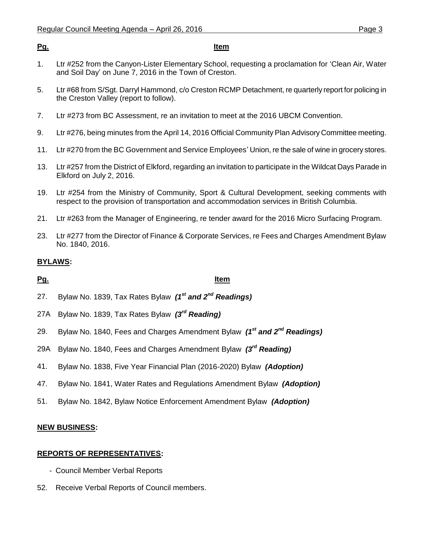### **Pg. Item**

- 1. Ltr #252 from the Canyon-Lister Elementary School, requesting a proclamation for 'Clean Air, Water and Soil Day' on June 7, 2016 in the Town of Creston.
- 5. Ltr #68 from S/Sgt. Darryl Hammond, c/o Creston RCMP Detachment, re quarterly report for policing in the Creston Valley (report to follow).
- 7. Ltr #273 from BC Assessment, re an invitation to meet at the 2016 UBCM Convention.
- 9. Ltr #276, being minutes from the April 14, 2016 Official Community Plan Advisory Committee meeting.
- 11. Ltr #270 from the BC Government and Service Employees' Union, re the sale of wine in grocery stores.
- 13. Ltr #257 from the District of Elkford, regarding an invitation to participate in the Wildcat Days Parade in Elkford on July 2, 2016.
- 19. Ltr #254 from the Ministry of Community, Sport & Cultural Development, seeking comments with respect to the provision of transportation and accommodation services in British Columbia.
- 21. Ltr #263 from the Manager of Engineering, re tender award for the 2016 Micro Surfacing Program.
- 23. Ltr #277 from the Director of Finance & Corporate Services, re Fees and Charges Amendment Bylaw No. 1840, 2016.

# **BYLAWS:**

# **Pg. Item**

- 27. Bylaw No. 1839, Tax Rates Bylaw *(1st and 2nd Readings)*
- 27A Bylaw No. 1839, Tax Rates Bylaw *(3rd Reading)*
- 29. Bylaw No. 1840, Fees and Charges Amendment Bylaw *(1st and 2nd Readings)*
- 29A Bylaw No. 1840, Fees and Charges Amendment Bylaw *(3rd Reading)*
- 41. Bylaw No. 1838, Five Year Financial Plan (2016-2020) Bylaw *(Adoption)*
- 47. Bylaw No. 1841, Water Rates and Regulations Amendment Bylaw *(Adoption)*
- 51. Bylaw No. 1842, Bylaw Notice Enforcement Amendment Bylaw *(Adoption)*

#### **NEW BUSINESS:**

#### **REPORTS OF REPRESENTATIVES:**

- Council Member Verbal Reports
- 52. Receive Verbal Reports of Council members.